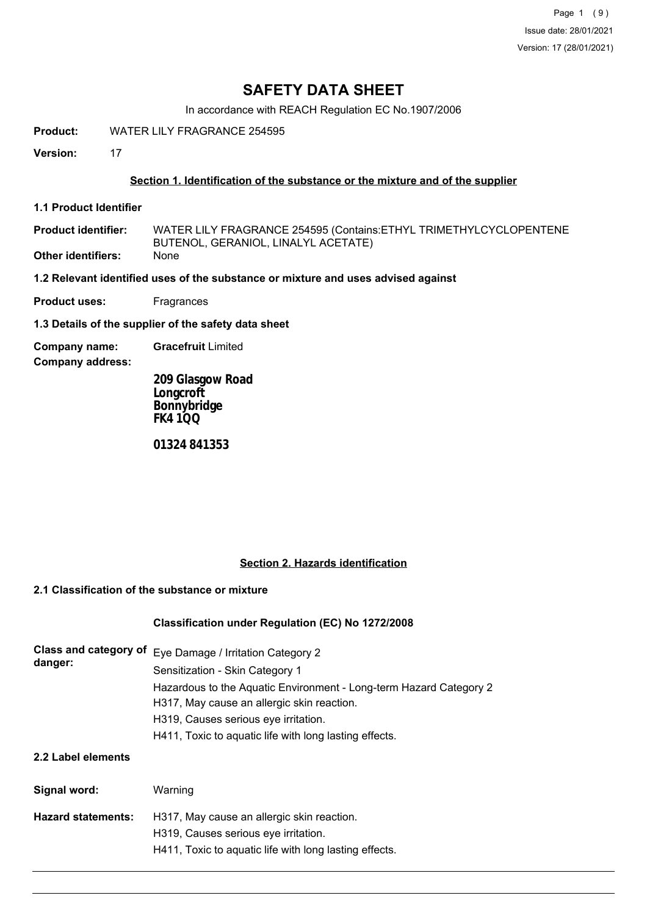# **SAFETY DATA SHEET**

In accordance with REACH Regulation EC No.1907/2006

**Product:** WATER LILY FRAGRANCE 254595

**Version:** 17

# **Section 1. Identification of the substance or the mixture and of the supplier**

**1.1 Product Identifier**

WATER LILY FRAGRANCE 254595 (Contains:ETHYL TRIMETHYLCYCLOPENTENE BUTENOL, GERANIOL, LINALYL ACETATE) **Product identifier: Other identifiers:** 

**1.2 Relevant identified uses of the substance or mixture and uses advised against**

**Product uses:** Fragrances

**1.3 Details of the supplier of the safety data sheet**

**Company name: Gracefruit** Limited

**Company address:**

**209 Glasgow Road Longcroft Bonnybridge FK4 1QQ**

**01324 841353**

## **Section 2. Hazards identification**

# **2.1 Classification of the substance or mixture**

## **Classification under Regulation (EC) No 1272/2008**

| Class and category of<br>danger: | Eye Damage / Irritation Category 2<br>Sensitization - Skin Category 1<br>Hazardous to the Aquatic Environment - Long-term Hazard Category 2<br>H317, May cause an allergic skin reaction.<br>H319, Causes serious eye irritation.<br>H411, Toxic to aquatic life with long lasting effects. |
|----------------------------------|---------------------------------------------------------------------------------------------------------------------------------------------------------------------------------------------------------------------------------------------------------------------------------------------|
| 2.2 Label elements               |                                                                                                                                                                                                                                                                                             |
| Signal word:                     | Warning                                                                                                                                                                                                                                                                                     |
| <b>Hazard statements:</b>        | H317, May cause an allergic skin reaction.                                                                                                                                                                                                                                                  |
|                                  | H319, Causes serious eye irritation.<br>H411, Toxic to aquatic life with long lasting effects.                                                                                                                                                                                              |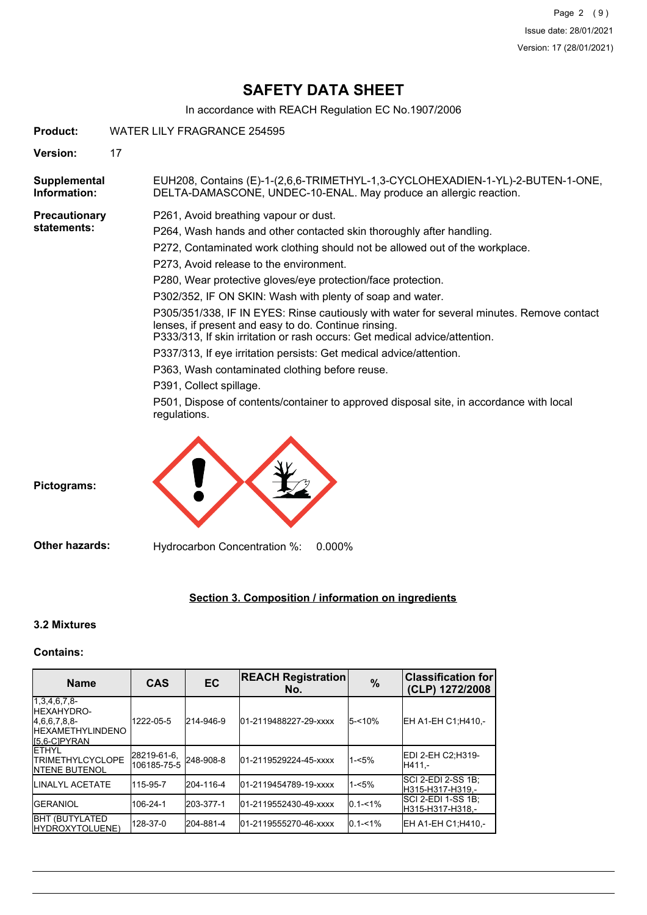# **SAFETY DATA SHEET**

In accordance with REACH Regulation EC No.1907/2006

**Product:** WATER LILY FRAGRANCE 254595

**Version:** 17

EUH208, Contains (E)-1-(2,6,6-TRIMETHYL-1,3-CYCLOHEXADIEN-1-YL)-2-BUTEN-1-ONE, DELTA-DAMASCONE, UNDEC-10-ENAL. May produce an allergic reaction. **Supplemental Information:**

**Precautionary statements:**

P261, Avoid breathing vapour or dust.

P264, Wash hands and other contacted skin thoroughly after handling.

- P272, Contaminated work clothing should not be allowed out of the workplace.
- P273, Avoid release to the environment.

P280, Wear protective gloves/eye protection/face protection.

P302/352, IF ON SKIN: Wash with plenty of soap and water.

P305/351/338, IF IN EYES: Rinse cautiously with water for several minutes. Remove contact lenses, if present and easy to do. Continue rinsing.

P333/313, If skin irritation or rash occurs: Get medical advice/attention.

P337/313, If eye irritation persists: Get medical advice/attention.

P363, Wash contaminated clothing before reuse.

P391, Collect spillage.

P501, Dispose of contents/container to approved disposal site, in accordance with local regulations.



**Pictograms:**

**Other hazards:** Hydrocarbon Concentration %: 0.000%

# **Section 3. Composition / information on ingredients**

## **3.2 Mixtures**

## **Contains:**

| <b>Name</b>                                                                               | <b>CAS</b>                 | EC        | <b>REACH Registration</b><br>No. | $\%$        | <b>Classification for</b><br>(CLP) 1272/2008 |
|-------------------------------------------------------------------------------------------|----------------------------|-----------|----------------------------------|-------------|----------------------------------------------|
| $1,3,4,6,7,8-$<br>IHEXAHYDRO-<br>4,6,6,7,8,8-<br><b>IHEXAMETHYLINDENO</b><br>IS.6-CIPYRAN | 1222-05-5                  | 214-946-9 | 01-2119488227-29-xxxx            | 5-<10%      | EH A1-EH C1:H410.-                           |
| <b>IETHYL</b><br><b>ITRIMETHYLCYCLOPE</b><br><b>INTENE BUTENOL</b>                        | 28219-61-6,<br>106185-75-5 | 248-908-8 | 01-2119529224-45-xxxx            | $1 - 5%$    | IEDI 2-EH C2:H319-<br>IH411.-                |
| <b>I</b> LINALYL ACETATE                                                                  | 115-95-7                   | 204-116-4 | 01-2119454789-19-xxxx            | $1 - 5%$    | ISCI 2-EDI 2-SS 1B:<br>H315-H317-H319.-      |
| <b>IGERANIOL</b>                                                                          | 106-24-1                   | 203-377-1 | 01-2119552430-49-xxxx            | $0.1 - 1\%$ | ISCI 2-EDI 1-SS 1B:<br>H315-H317-H318.-      |
| <b>I</b> BHT (BUTYLATED<br>IHYDROXYTOLUENE)                                               | 128-37-0                   | 204-881-4 | 01-2119555270-46-xxxx            | $0.1 - 1\%$ | EH A1-EH C1;H410,-                           |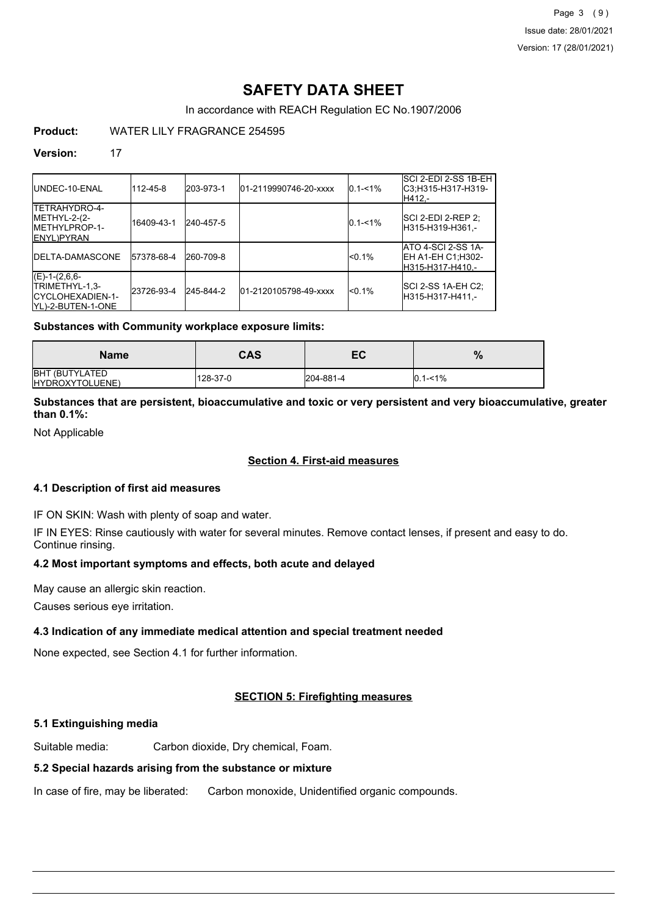# **SAFETY DATA SHEET**

In accordance with REACH Regulation EC No.1907/2006

# **Product:** WATER LILY FRAGRANCE 254595

### **Version:** 17

| <b>IUNDEC-10-ENAL</b>                                                         | 112-45-8   | 203-973-1 | 01-2119990746-20-xxxx | $0.1 - 1\%$ | SCI 2-EDI 2-SS 1B-EH<br>C3:H315-H317-H319-<br>H412.-                |
|-------------------------------------------------------------------------------|------------|-----------|-----------------------|-------------|---------------------------------------------------------------------|
| <b>ITETRAHYDRO-4-</b><br>METHYL-2-(2-<br>IMETHYLPROP-1-<br><b>IENYL)PYRAN</b> | 16409-43-1 | 240-457-5 |                       | $0.1 - 1\%$ | ISCI 2-EDI 2-REP 2:<br>H315-H319-H361.-                             |
| <b>IDELTA-DAMASCONE</b>                                                       | 57378-68-4 | 260-709-8 |                       | $< 0.1\%$   | ATO 4-SCI 2-SS 1A-<br><b>IEH A1-EH C1:H302-</b><br>H315-H317-H410.- |
| $(E)-1-(2,6,6-$<br>ITRIMETHYL-1,3-<br>ICYCLOHEXADIEN-1-<br>IYL)-2-BUTEN-1-ONE | 23726-93-4 | 245-844-2 | 01-2120105798-49-xxxx | $<$ 0 1%    | SCI 2-SS 1A-EH C2;<br>H315-H317-H411.-                              |

#### **Substances with Community workplace exposure limits:**

| <b>Name</b>                              | CAS      | EC        | $\%$        |
|------------------------------------------|----------|-----------|-------------|
| <b>BHT (BUTYLATED</b><br>HYDROXYTOLUENE) | 128-37-0 | 204-881-4 | $0.1 - 1\%$ |

# **Substances that are persistent, bioaccumulative and toxic or very persistent and very bioaccumulative, greater than 0.1%:**

Not Applicable

# **Section 4. First-aid measures**

## **4.1 Description of first aid measures**

IF ON SKIN: Wash with plenty of soap and water.

IF IN EYES: Rinse cautiously with water for several minutes. Remove contact lenses, if present and easy to do. Continue rinsing.

# **4.2 Most important symptoms and effects, both acute and delayed**

May cause an allergic skin reaction.

Causes serious eye irritation.

## **4.3 Indication of any immediate medical attention and special treatment needed**

None expected, see Section 4.1 for further information.

## **SECTION 5: Firefighting measures**

## **5.1 Extinguishing media**

Suitable media: Carbon dioxide, Dry chemical, Foam.

## **5.2 Special hazards arising from the substance or mixture**

In case of fire, may be liberated: Carbon monoxide, Unidentified organic compounds.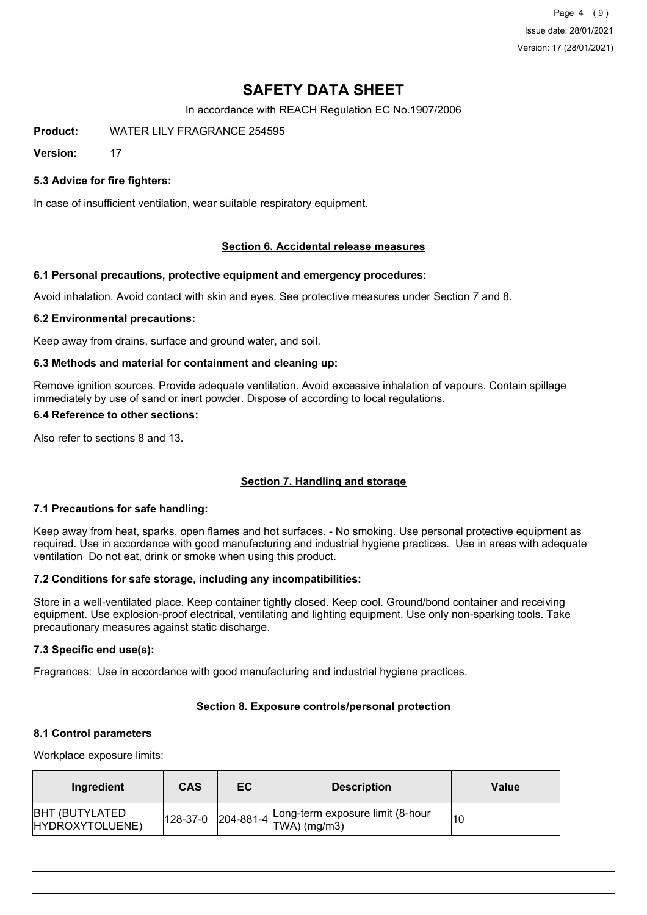Page 4 (9) Issue date: 28/01/2021 Version: 17 (28/01/2021)

# **SAFETY DATA SHEET**

In accordance with REACH Regulation EC No.1907/2006

**Product:** WATER LILY FRAGRANCE 254595

**Version:** 17

# **5.3 Advice for fire fighters:**

In case of insufficient ventilation, wear suitable respiratory equipment.

## **Section 6. Accidental release measures**

#### **6.1 Personal precautions, protective equipment and emergency procedures:**

Avoid inhalation. Avoid contact with skin and eyes. See protective measures under Section 7 and 8.

#### **6.2 Environmental precautions:**

Keep away from drains, surface and ground water, and soil.

#### **6.3 Methods and material for containment and cleaning up:**

Remove ignition sources. Provide adequate ventilation. Avoid excessive inhalation of vapours. Contain spillage immediately by use of sand or inert powder. Dispose of according to local regulations.

#### **6.4 Reference to other sections:**

Also refer to sections 8 and 13.

## **Section 7. Handling and storage**

#### **7.1 Precautions for safe handling:**

Keep away from heat, sparks, open flames and hot surfaces. - No smoking. Use personal protective equipment as required. Use in accordance with good manufacturing and industrial hygiene practices. Use in areas with adequate ventilation Do not eat, drink or smoke when using this product.

#### **7.2 Conditions for safe storage, including any incompatibilities:**

Store in a well-ventilated place. Keep container tightly closed. Keep cool. Ground/bond container and receiving equipment. Use explosion-proof electrical, ventilating and lighting equipment. Use only non-sparking tools. Take precautionary measures against static discharge.

#### **7.3 Specific end use(s):**

Fragrances: Use in accordance with good manufacturing and industrial hygiene practices.

#### **Section 8. Exposure controls/personal protection**

#### **8.1 Control parameters**

Workplace exposure limits:

| Ingredient                               | CAS | EC | <b>Description</b>                                                                                                             | Value |
|------------------------------------------|-----|----|--------------------------------------------------------------------------------------------------------------------------------|-------|
| <b>BHT (BUTYLATED</b><br>HYDROXYTOLUENE) |     |    | $\begin{vmatrix} 128-37-0 & 204-881-4 & \text{Long-term exposure limit (8-hour} \\ \text{TWA)} & \text{(mg/m3)} \end{vmatrix}$ | 10    |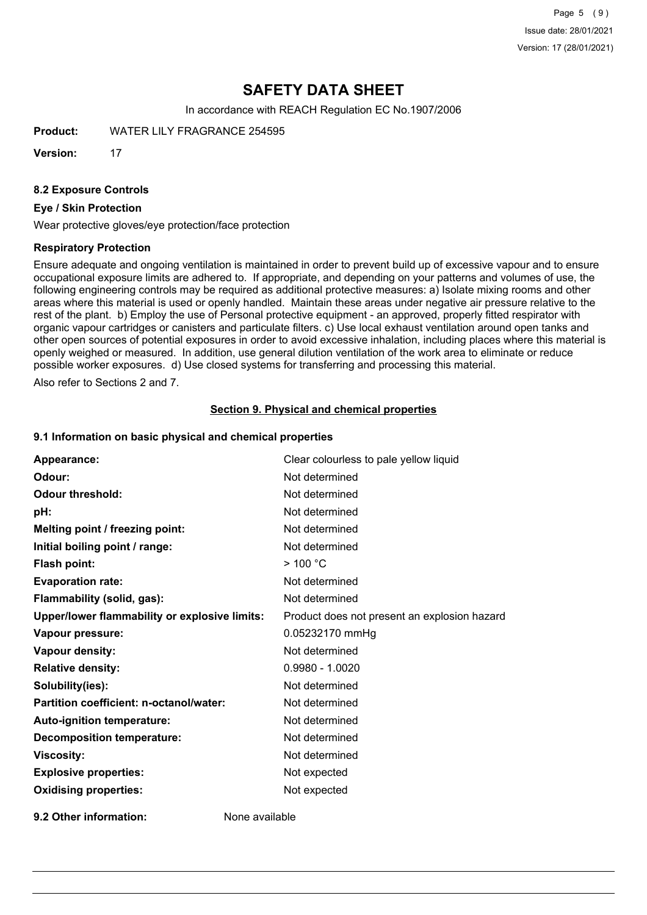Page 5 (9) Issue date: 28/01/2021 Version: 17 (28/01/2021)

# **SAFETY DATA SHEET**

In accordance with REACH Regulation EC No.1907/2006

**Product:** WATER LILY FRAGRANCE 254595

**Version:** 17

#### **8.2 Exposure Controls**

#### **Eye / Skin Protection**

Wear protective gloves/eye protection/face protection

#### **Respiratory Protection**

Ensure adequate and ongoing ventilation is maintained in order to prevent build up of excessive vapour and to ensure occupational exposure limits are adhered to. If appropriate, and depending on your patterns and volumes of use, the following engineering controls may be required as additional protective measures: a) Isolate mixing rooms and other areas where this material is used or openly handled. Maintain these areas under negative air pressure relative to the rest of the plant. b) Employ the use of Personal protective equipment - an approved, properly fitted respirator with organic vapour cartridges or canisters and particulate filters. c) Use local exhaust ventilation around open tanks and other open sources of potential exposures in order to avoid excessive inhalation, including places where this material is openly weighed or measured. In addition, use general dilution ventilation of the work area to eliminate or reduce possible worker exposures. d) Use closed systems for transferring and processing this material.

Also refer to Sections 2 and 7.

### **Section 9. Physical and chemical properties**

#### **9.1 Information on basic physical and chemical properties**

| Appearance:                                          | Clear colourless to pale yellow liquid       |
|------------------------------------------------------|----------------------------------------------|
| Odour:                                               | Not determined                               |
| <b>Odour threshold:</b>                              | Not determined                               |
| pH:                                                  | Not determined                               |
| Melting point / freezing point:                      | Not determined                               |
| Initial boiling point / range:                       | Not determined                               |
| <b>Flash point:</b>                                  | $>$ 100 °C                                   |
| <b>Evaporation rate:</b>                             | Not determined                               |
| Flammability (solid, gas):                           | Not determined                               |
| <b>Upper/lower flammability or explosive limits:</b> | Product does not present an explosion hazard |
| Vapour pressure:                                     | 0.05232170 mmHg                              |
| <b>Vapour density:</b>                               | Not determined                               |
| <b>Relative density:</b>                             | $0.9980 - 1.0020$                            |
| Solubility(ies):                                     | Not determined                               |
| Partition coefficient: n-octanol/water:              | Not determined                               |
| Auto-ignition temperature:                           | Not determined                               |
| <b>Decomposition temperature:</b>                    | Not determined                               |
| <b>Viscosity:</b>                                    | Not determined                               |
| <b>Explosive properties:</b>                         | Not expected                                 |
| <b>Oxidising properties:</b>                         | Not expected                                 |
|                                                      |                                              |

**9.2 Other information:** None available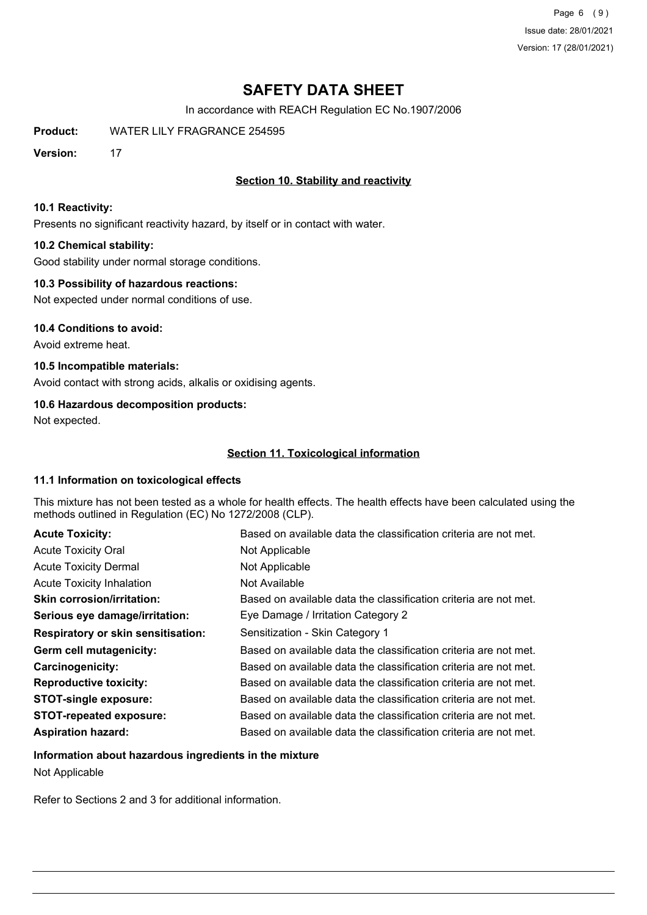Page 6 (9) Issue date: 28/01/2021 Version: 17 (28/01/2021)

# **SAFETY DATA SHEET**

In accordance with REACH Regulation EC No.1907/2006

**Product:** WATER LILY FRAGRANCE 254595

**Version:** 17

# **Section 10. Stability and reactivity**

#### **10.1 Reactivity:**

Presents no significant reactivity hazard, by itself or in contact with water.

## **10.2 Chemical stability:**

Good stability under normal storage conditions.

## **10.3 Possibility of hazardous reactions:**

Not expected under normal conditions of use.

#### **10.4 Conditions to avoid:**

Avoid extreme heat.

# **10.5 Incompatible materials:**

Avoid contact with strong acids, alkalis or oxidising agents.

# **10.6 Hazardous decomposition products:**

Not expected.

# **Section 11. Toxicological information**

## **11.1 Information on toxicological effects**

This mixture has not been tested as a whole for health effects. The health effects have been calculated using the methods outlined in Regulation (EC) No 1272/2008 (CLP).

| <b>Acute Toxicity:</b>                    | Based on available data the classification criteria are not met. |
|-------------------------------------------|------------------------------------------------------------------|
| <b>Acute Toxicity Oral</b>                | Not Applicable                                                   |
| <b>Acute Toxicity Dermal</b>              | Not Applicable                                                   |
| <b>Acute Toxicity Inhalation</b>          | Not Available                                                    |
| <b>Skin corrosion/irritation:</b>         | Based on available data the classification criteria are not met. |
| Serious eye damage/irritation:            | Eye Damage / Irritation Category 2                               |
| <b>Respiratory or skin sensitisation:</b> | Sensitization - Skin Category 1                                  |
| Germ cell mutagenicity:                   | Based on available data the classification criteria are not met. |
| <b>Carcinogenicity:</b>                   | Based on available data the classification criteria are not met. |
| <b>Reproductive toxicity:</b>             | Based on available data the classification criteria are not met. |
| <b>STOT-single exposure:</b>              | Based on available data the classification criteria are not met. |
| <b>STOT-repeated exposure:</b>            | Based on available data the classification criteria are not met. |
| <b>Aspiration hazard:</b>                 | Based on available data the classification criteria are not met. |

# **Information about hazardous ingredients in the mixture** Not Applicable

Refer to Sections 2 and 3 for additional information.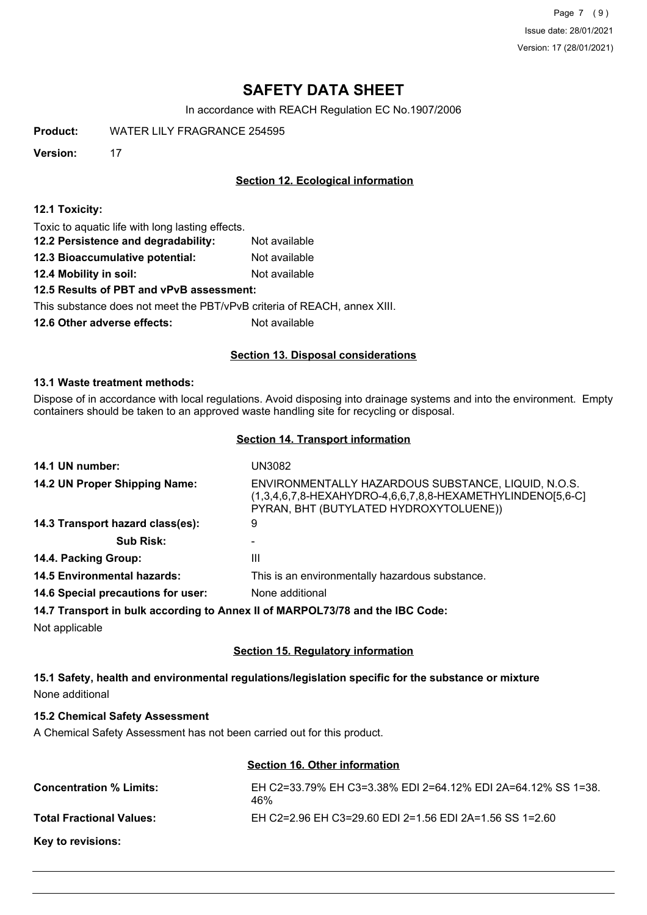Page 7 (9) Issue date: 28/01/2021 Version: 17 (28/01/2021)

# **SAFETY DATA SHEET**

In accordance with REACH Regulation EC No.1907/2006

**Product:** WATER LILY FRAGRANCE 254595

**Version:** 17

# **Section 12. Ecological information**

#### **12.1 Toxicity:**

Toxic to aquatic life with long lasting effects.

- **12.2 Persistence and degradability:** Not available
- **12.3 Bioaccumulative potential:** Not available
- **12.4 Mobility in soil:** Not available

## **12.5 Results of PBT and vPvB assessment:**

This substance does not meet the PBT/vPvB criteria of REACH, annex XIII.

**12.6 Other adverse effects:** Not available

## **Section 13. Disposal considerations**

#### **13.1 Waste treatment methods:**

Dispose of in accordance with local regulations. Avoid disposing into drainage systems and into the environment. Empty containers should be taken to an approved waste handling site for recycling or disposal.

#### **Section 14. Transport information**

| 14.1 UN number:                                                               | UN3082                                                                                                                                                      |
|-------------------------------------------------------------------------------|-------------------------------------------------------------------------------------------------------------------------------------------------------------|
| 14.2 UN Proper Shipping Name:                                                 | ENVIRONMENTALLY HAZARDOUS SUBSTANCE, LIQUID, N.O.S.<br>(1,3,4,6,7,8-HEXAHYDRO-4,6,6,7,8,8-HEXAMETHYLINDENO[5,6-C]<br>PYRAN, BHT (BUTYLATED HYDROXYTOLUENE)) |
| 14.3 Transport hazard class(es):                                              | 9                                                                                                                                                           |
| <b>Sub Risk:</b>                                                              |                                                                                                                                                             |
| 14.4. Packing Group:                                                          | Ш                                                                                                                                                           |
| <b>14.5 Environmental hazards:</b>                                            | This is an environmentally hazardous substance.                                                                                                             |
| 14.6 Special precautions for user:                                            | None additional                                                                                                                                             |
| 14.7 Transport in bulk according to Annex II of MARPOL73/78 and the IBC Code: |                                                                                                                                                             |
| Not applicable                                                                |                                                                                                                                                             |

## **Section 15. Regulatory information**

**15.1 Safety, health and environmental regulations/legislation specific for the substance or mixture** None additional

# **15.2 Chemical Safety Assessment**

A Chemical Safety Assessment has not been carried out for this product.

# **Section 16. Other information**

| <b>Concentration % Limits:</b>  | EH C2=33.79% EH C3=3.38% EDI 2=64.12% EDI 2A=64.12% SS 1=38.<br>46% |
|---------------------------------|---------------------------------------------------------------------|
| <b>Total Fractional Values:</b> | EH C2=2.96 EH C3=29.60 EDI 2=1.56 EDI 2A=1.56 SS 1=2.60             |
| Key to revisions:               |                                                                     |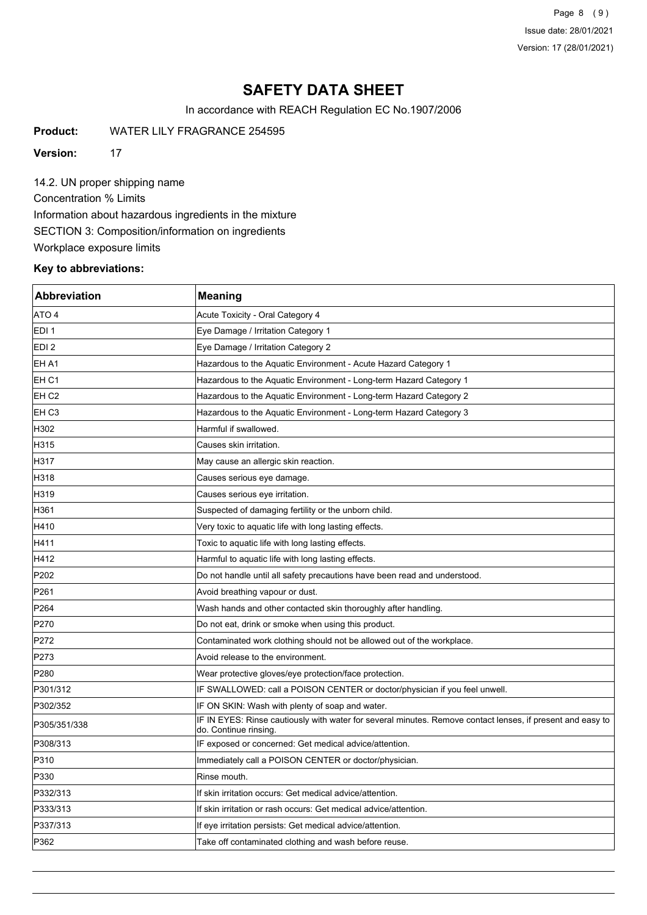Page 8 (9) Issue date: 28/01/2021 Version: 17 (28/01/2021)

# **SAFETY DATA SHEET**

In accordance with REACH Regulation EC No.1907/2006

**Product:** WATER LILY FRAGRANCE 254595

**Version:** 17

14.2. UN proper shipping name Concentration % Limits Information about hazardous ingredients in the mixture SECTION 3: Composition/information on ingredients Workplace exposure limits

# **Key to abbreviations:**

| <b>Abbreviation</b> | <b>Meaning</b>                                                                                                                      |
|---------------------|-------------------------------------------------------------------------------------------------------------------------------------|
| ATO 4               | Acute Toxicity - Oral Category 4                                                                                                    |
| EDI <sub>1</sub>    | Eye Damage / Irritation Category 1                                                                                                  |
| EDI <sub>2</sub>    | Eye Damage / Irritation Category 2                                                                                                  |
| EH A1               | Hazardous to the Aquatic Environment - Acute Hazard Category 1                                                                      |
| EH <sub>C1</sub>    | Hazardous to the Aquatic Environment - Long-term Hazard Category 1                                                                  |
| EH <sub>C2</sub>    | Hazardous to the Aquatic Environment - Long-term Hazard Category 2                                                                  |
| EH C <sub>3</sub>   | Hazardous to the Aquatic Environment - Long-term Hazard Category 3                                                                  |
| H302                | Harmful if swallowed.                                                                                                               |
| H315                | Causes skin irritation.                                                                                                             |
| H317                | May cause an allergic skin reaction.                                                                                                |
| H318                | Causes serious eye damage.                                                                                                          |
| H319                | Causes serious eye irritation.                                                                                                      |
| H361                | Suspected of damaging fertility or the unborn child.                                                                                |
| H410                | Very toxic to aquatic life with long lasting effects.                                                                               |
| H411                | Toxic to aquatic life with long lasting effects.                                                                                    |
| H412                | Harmful to aquatic life with long lasting effects.                                                                                  |
| P <sub>202</sub>    | Do not handle until all safety precautions have been read and understood.                                                           |
| P261                | Avoid breathing vapour or dust.                                                                                                     |
| P <sub>264</sub>    | Wash hands and other contacted skin thoroughly after handling.                                                                      |
| P270                | Do not eat, drink or smoke when using this product.                                                                                 |
| P272                | Contaminated work clothing should not be allowed out of the workplace.                                                              |
| P273                | Avoid release to the environment.                                                                                                   |
| P <sub>280</sub>    | Wear protective gloves/eye protection/face protection.                                                                              |
| P301/312            | IF SWALLOWED: call a POISON CENTER or doctor/physician if you feel unwell.                                                          |
| P302/352            | IF ON SKIN: Wash with plenty of soap and water.                                                                                     |
| P305/351/338        | IF IN EYES: Rinse cautiously with water for several minutes. Remove contact lenses, if present and easy to<br>do. Continue rinsing. |
| P308/313            | IF exposed or concerned: Get medical advice/attention.                                                                              |
| P310                | Immediately call a POISON CENTER or doctor/physician.                                                                               |
| P330                | Rinse mouth.                                                                                                                        |
| P332/313            | If skin irritation occurs: Get medical advice/attention.                                                                            |
| P333/313            | If skin irritation or rash occurs: Get medical advice/attention.                                                                    |
| P337/313            | If eye irritation persists: Get medical advice/attention.                                                                           |
| P362                | Take off contaminated clothing and wash before reuse.                                                                               |